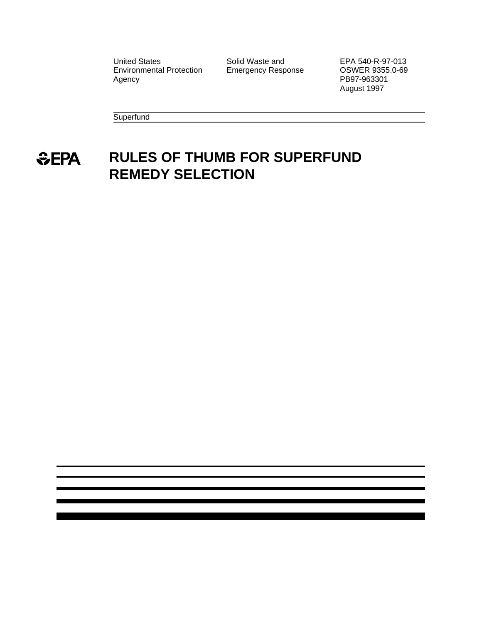United States **Solid Waste and** EPA 540-R-97-013<br>Environmental Protection Emergency Response **COSWER 9355.0-69** Environmental Protection Agency **PB97-963301** 

August 1997

**Superfund** 

# *<u><del>SEPA</del>*</u> **RULES OF THUMB FOR SUPERFUND REMEDY SELECTION**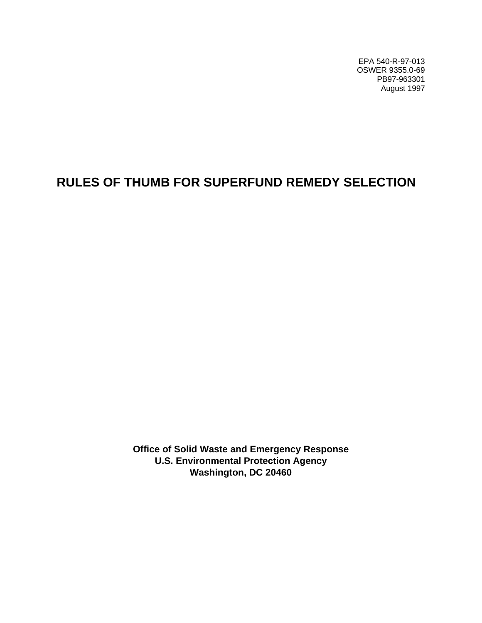EPA 540-R-97-013 OSWER 9355.0-69 PB97-963301 August 1997

# **RULES OF THUMB FOR SUPERFUND REMEDY SELECTION**

**Office of Solid Waste and Emergency Response U.S. Environmental Protection Agency Washington, DC 20460**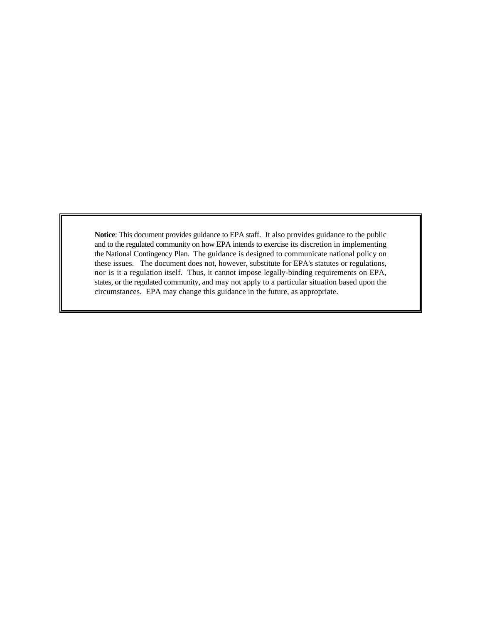**Notice**: This document provides guidance to EPA staff. It also provides guidance to the public and to the regulated community on how EPA intends to exercise its discretion in implementing the National Contingency Plan. The guidance is designed to communicate national policy on these issues. The document does not, however, substitute for EPA's statutes or regulations, nor is it a regulation itself. Thus, it cannot impose legally-binding requirements on EPA, states, or the regulated community, and may not apply to a particular situation based upon the circumstances. EPA may change this guidance in the future, as appropriate.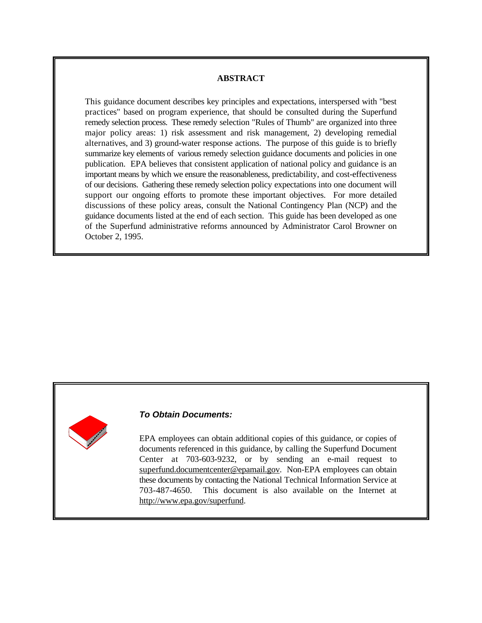#### **ABSTRACT**

This guidance document describes key principles and expectations, interspersed with "best practices" based on program experience, that should be consulted during the Superfund remedy selection process. These remedy selection "Rules of Thumb" are organized into three major policy areas: 1) risk assessment and risk management, 2) developing remedial alternatives, and 3) ground-water response actions. The purpose of this guide is to briefly summarize key elements of various remedy selection guidance documents and policies in one publication. EPA believes that consistent application of national policy and guidance is an important means by which we ensure the reasonableness, predictability, and cost-effectiveness of our decisions. Gathering these remedy selection policy expectations into one document will support our ongoing efforts to promote these important objectives. For more detailed discussions of these policy areas, consult the National Contingency Plan (NCP) and the guidance documents listed at the end of each section. This guide has been developed as one of the Superfund administrative reforms announced by Administrator Carol Browner on October 2, 1995.



#### *To Obtain Documents:*

EPA employees can obtain additional copies of this guidance, or copies of documents referenced in this guidance, by calling the Superfund Document Center at 703-603-9232, or by sending an e-mail request to superfund.documentcenter@epamail.gov. Non-EPA employees can obtain these documents by contacting the National Technical Information Service at 703-487-4650. This document is also available on the Internet at http://www.epa.gov/superfund.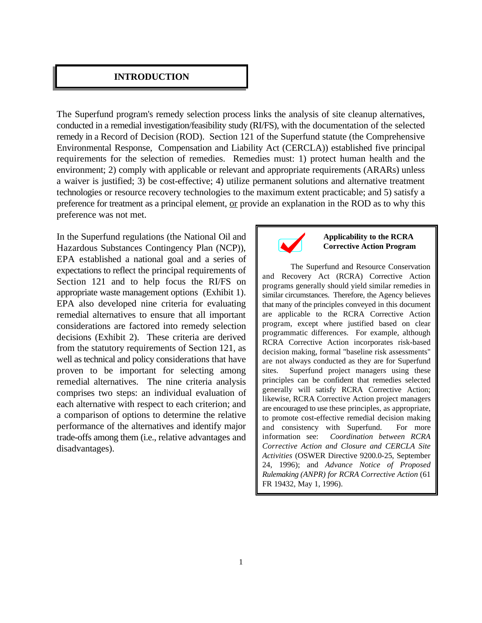#### **INTRODUCTION**

The Superfund program's remedy selection process links the analysis of site cleanup alternatives, conducted in a remedial investigation/feasibility study (RI/FS), with the documentation of the selected remedy in a Record of Decision (ROD). Section 121 of the Superfund statute (the Comprehensive Environmental Response, Compensation and Liability Act (CERCLA)) established five principal requirements for the selection of remedies. Remedies must: 1) protect human health and the environment; 2) comply with applicable or relevant and appropriate requirements (ARARs) unless a waiver is justified; 3) be cost-effective; 4) utilize permanent solutions and alternative treatment technologies or resource recovery technologies to the maximum extent practicable; and 5) satisfy a preference for treatment as a principal element, or provide an explanation in the ROD as to why this preference was not met.

In the Superfund regulations (the National Oil and Hazardous Substances Contingency Plan (NCP)), EPA established a national goal and a series of expectations to reflect the principal requirements of Section 121 and to help focus the RI/FS on appropriate waste management options (Exhibit 1). EPA also developed nine criteria for evaluating remedial alternatives to ensure that all important considerations are factored into remedy selection decisions (Exhibit 2). These criteria are derived from the statutory requirements of Section 121, as well as technical and policy considerations that have proven to be important for selecting among remedial alternatives. The nine criteria analysis comprises two steps: an individual evaluation of each alternative with respect to each criterion; and a comparison of options to determine the relative performance of the alternatives and identify major trade-offs among them (i.e., relative advantages and disadvantages).



#### **Applicability to the RCRA Corrective Action Program**

The Superfund and Resource Conservation and Recovery Act (RCRA) Corrective Action programs generally should yield similar remedies in similar circumstances. Therefore, the Agency believes that many of the principles conveyed in this document are applicable to the RCRA Corrective Action program, except where justified based on clear programmatic differences. For example, although RCRA Corrective Action incorporates risk-based decision making, formal "baseline risk assessments" are not always conducted as they are for Superfund sites. Superfund project managers using these principles can be confident that remedies selected generally will satisfy RCRA Corrective Action; likewise, RCRA Corrective Action project managers are encouraged to use these principles, as appropriate, to promote cost-effective remedial decision making and consistency with Superfund. For more information see: *Coordination between RCRA Corrective Action and Closure and CERCLA Site Activities* (OSWER Directive 9200.0-25, September 24, 1996); and *Advance Notice of Proposed Rulemaking (ANPR) for RCRA Corrective Action* (61 FR 19432*,* May 1, 1996).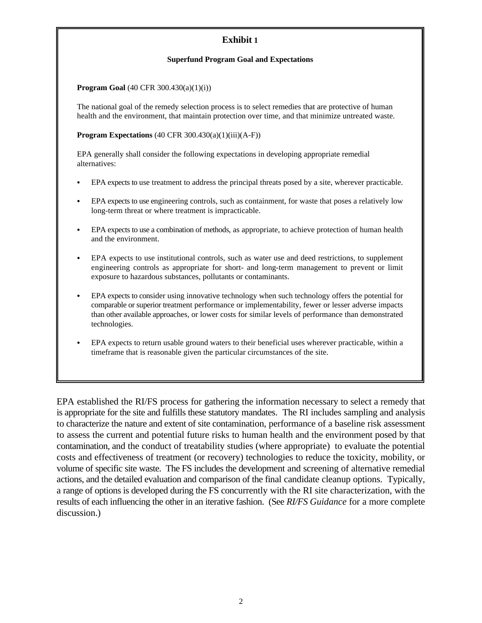# **Exhibit 1**

#### **Superfund Program Goal and Expectations**

#### **Program Goal** (40 CFR 300.430(a)(1)(i))

The national goal of the remedy selection process is to select remedies that are protective of human health and the environment, that maintain protection over time, and that minimize untreated waste.

#### **Program Expectations** (40 CFR 300.430(a)(1)(iii)(A-F))

EPA generally shall consider the following expectations in developing appropriate remedial alternatives:

- EPA expects to use treatment to address the principal threats posed by a site, wherever practicable.
- EPA expects to use engineering controls, such as containment, for waste that poses a relatively low long-term threat or where treatment is impracticable.
- EPA expects to use a combination of methods, as appropriate, to achieve protection of human health and the environment.
- EPA expects to use institutional controls, such as water use and deed restrictions, to supplement engineering controls as appropriate for short- and long-term management to prevent or limit exposure to hazardous substances, pollutants or contaminants.
- EPA expects to consider using innovative technology when such technology offers the potential for comparable or superior treatment performance or implementability, fewer or lesser adverse impacts than other available approaches, or lower costs for similar levels of performance than demonstrated technologies.
- EPA expects to return usable ground waters to their beneficial uses wherever practicable, within a timeframe that is reasonable given the particular circumstances of the site.

EPA established the RI/FS process for gathering the information necessary to select a remedy that is appropriate for the site and fulfills these statutory mandates. The RI includes sampling and analysis to characterize the nature and extent of site contamination, performance of a baseline risk assessment to assess the current and potential future risks to human health and the environment posed by that contamination, and the conduct of treatability studies (where appropriate) to evaluate the potential costs and effectiveness of treatment (or recovery) technologies to reduce the toxicity, mobility, or volume of specific site waste. The FS includes the development and screening of alternative remedial actions, and the detailed evaluation and comparison of the final candidate cleanup options. Typically, a range of options is developed during the FS concurrently with the RI site characterization, with the results of each influencing the other in an iterative fashion. (See *RI/FS Guidance* for a more complete discussion.)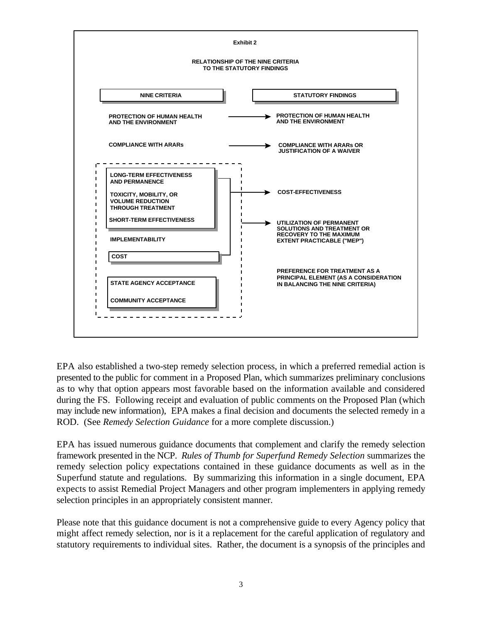

EPA also established a two-step remedy selection process, in which a preferred remedial action is presented to the public for comment in a Proposed Plan, which summarizes preliminary conclusions as to why that option appears most favorable based on the information available and considered during the FS. Following receipt and evaluation of public comments on the Proposed Plan (which may include new information), EPA makes a final decision and documents the selected remedy in a ROD. (See *Remedy Selection Guidance* for a more complete discussion.)

EPA has issued numerous guidance documents that complement and clarify the remedy selection framework presented in the NCP. *Rules of Thumb for Superfund Remedy Selection* summarizes the remedy selection policy expectations contained in these guidance documents as well as in the Superfund statute and regulations. By summarizing this information in a single document, EPA expects to assist Remedial Project Managers and other program implementers in applying remedy selection principles in an appropriately consistent manner.

Please note that this guidance document is not a comprehensive guide to every Agency policy that might affect remedy selection, nor is it a replacement for the careful application of regulatory and statutory requirements to individual sites. Rather, the document is a synopsis of the principles and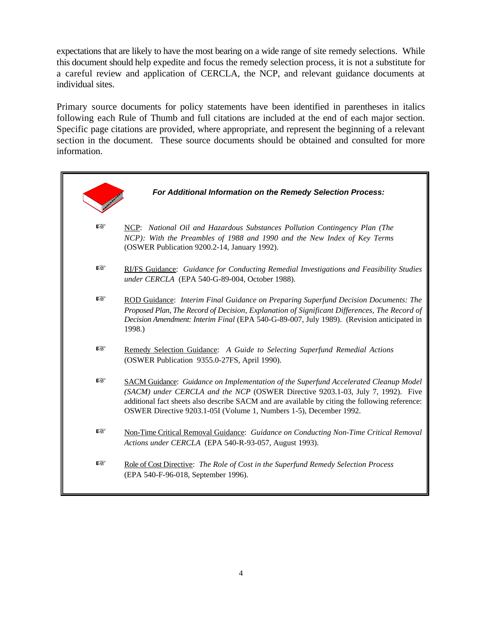expectations that are likely to have the most bearing on a wide range of site remedy selections. While this document should help expedite and focus the remedy selection process, it is not a substitute for a careful review and application of CERCLA, the NCP, and relevant guidance documents at individual sites.

Primary source documents for policy statements have been identified in parentheses in italics following each Rule of Thumb and full citations are included at the end of each major section. Specific page citations are provided, where appropriate, and represent the beginning of a relevant section in the document. These source documents should be obtained and consulted for more information.

|   | For Additional Information on the Remedy Selection Process:                                                                                                                                                                                                                                                                                            |
|---|--------------------------------------------------------------------------------------------------------------------------------------------------------------------------------------------------------------------------------------------------------------------------------------------------------------------------------------------------------|
| 暖 | NCP: National Oil and Hazardous Substances Pollution Contingency Plan (The<br>NCP): With the Preambles of 1988 and 1990 and the New Index of Key Terms<br>(OSWER Publication 9200.2-14, January 1992).                                                                                                                                                 |
| 暚 | RI/FS Guidance: Guidance for Conducting Remedial Investigations and Feasibility Studies<br>under CERCLA (EPA 540-G-89-004, October 1988).                                                                                                                                                                                                              |
| 暖 | ROD Guidance: Interim Final Guidance on Preparing Superfund Decision Documents: The<br>Proposed Plan, The Record of Decision, Explanation of Significant Differences, The Record of<br>Decision Amendment: Interim Final (EPA 540-G-89-007, July 1989). (Revision anticipated in<br>1998.)                                                             |
| 暚 | Remedy Selection Guidance: A Guide to Selecting Superfund Remedial Actions<br>(OSWER Publication 9355.0-27FS, April 1990).                                                                                                                                                                                                                             |
| 隐 | <b>SACM Guidance:</b> Guidance on Implementation of the Superfund Accelerated Cleanup Model<br>(SACM) under CERCLA and the NCP (OSWER Directive 9203.1-03, July 7, 1992). Five<br>additional fact sheets also describe SACM and are available by citing the following reference:<br>OSWER Directive 9203.1-05I (Volume 1, Numbers 1-5), December 1992. |
| 隐 | Non-Time Critical Removal Guidance: Guidance on Conducting Non-Time Critical Removal<br>Actions under CERCLA (EPA 540-R-93-057, August 1993).                                                                                                                                                                                                          |
| 隐 | Role of Cost Directive: The Role of Cost in the Superfund Remedy Selection Process<br>(EPA 540-F-96-018, September 1996).                                                                                                                                                                                                                              |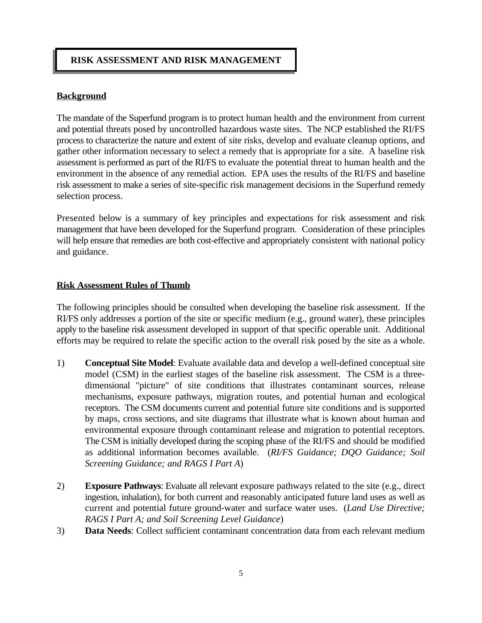# **RISK ASSESSMENT AND RISK MANAGEMENT**

# **Background**

The mandate of the Superfund program is to protect human health and the environment from current and potential threats posed by uncontrolled hazardous waste sites. The NCP established the RI/FS process to characterize the nature and extent of site risks, develop and evaluate cleanup options, and gather other information necessary to select a remedy that is appropriate for a site. A baseline risk assessment is performed as part of the RI/FS to evaluate the potential threat to human health and the environment in the absence of any remedial action. EPA uses the results of the RI/FS and baseline risk assessment to make a series of site-specific risk management decisions in the Superfund remedy selection process.

Presented below is a summary of key principles and expectations for risk assessment and risk management that have been developed for the Superfund program. Consideration of these principles will help ensure that remedies are both cost-effective and appropriately consistent with national policy and guidance.

## **Risk Assessment Rules of Thumb**

The following principles should be consulted when developing the baseline risk assessment. If the RI/FS only addresses a portion of the site or specific medium (e.g., ground water), these principles apply to the baseline risk assessment developed in support of that specific operable unit. Additional efforts may be required to relate the specific action to the overall risk posed by the site as a whole.

- 1) **Conceptual Site Model**: Evaluate available data and develop a well-defined conceptual site model (CSM) in the earliest stages of the baseline risk assessment. The CSM is a threedimensional "picture" of site conditions that illustrates contaminant sources, release mechanisms, exposure pathways, migration routes, and potential human and ecological receptors. The CSM documents current and potential future site conditions and is supported by maps, cross sections, and site diagrams that illustrate what is known about human and environmental exposure through contaminant release and migration to potential receptors. The CSM is initially developed during the scoping phase of the RI/FS and should be modified as additional information becomes available. (*RI/FS Guidance; DQO Guidance; Soil Screening Guidance; and RAGS I Part A*)
- 2) **Exposure Pathways**: Evaluate all relevant exposure pathways related to the site (e.g., direct ingestion, inhalation), for both current and reasonably anticipated future land uses as well as current and potential future ground-water and surface water uses. (*Land Use Directive; RAGS I Part A; and Soil Screening Level Guidance*)
- 3) **Data Needs**: Collect sufficient contaminant concentration data from each relevant medium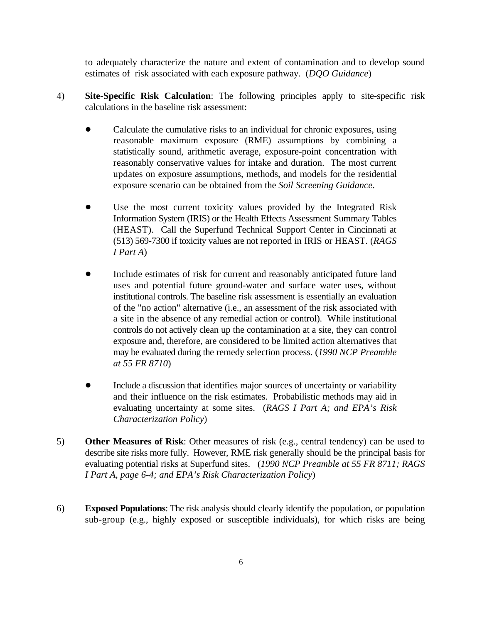to adequately characterize the nature and extent of contamination and to develop sound estimates of risk associated with each exposure pathway. (*DQO Guidance*)

- 4) **Site-Specific Risk Calculation**: The following principles apply to site-specific risk calculations in the baseline risk assessment:
	- Calculate the cumulative risks to an individual for chronic exposures, using reasonable maximum exposure (RME) assumptions by combining a statistically sound, arithmetic average, exposure-point concentration with reasonably conservative values for intake and duration. The most current updates on exposure assumptions, methods, and models for the residential exposure scenario can be obtained from the *Soil Screening Guidance*.
	- Use the most current toxicity values provided by the Integrated Risk Information System (IRIS) or the Health Effects Assessment Summary Tables (HEAST). Call the Superfund Technical Support Center in Cincinnati at (513) 569-7300 if toxicity values are not reported in IRIS or HEAST. (*RAGS I Part A*)
	- Include estimates of risk for current and reasonably anticipated future land uses and potential future ground-water and surface water uses, without institutional controls. The baseline risk assessment is essentially an evaluation of the "no action" alternative (i.e., an assessment of the risk associated with a site in the absence of any remedial action or control). While institutional controls do not actively clean up the contamination at a site, they can control exposure and, therefore, are considered to be limited action alternatives that may be evaluated during the remedy selection process. (*1990 NCP Preamble at 55 FR 8710*)
	- ! Include a discussion that identifies major sources of uncertainty or variability and their influence on the risk estimates. Probabilistic methods may aid in evaluating uncertainty at some sites. (*RAGS I Part A; and EPA's Risk Characterization Policy*)
- 5) **Other Measures of Risk**: Other measures of risk (e.g., central tendency) can be used to describe site risks more fully. However, RME risk generally should be the principal basis for evaluating potential risks at Superfund sites. (*1990 NCP Preamble at 55 FR 8711; RAGS I Part A, page 6-4; and EPA's Risk Characterization Policy*)
- 6) **Exposed Populations**: The risk analysis should clearly identify the population, or population sub-group (e.g., highly exposed or susceptible individuals), for which risks are being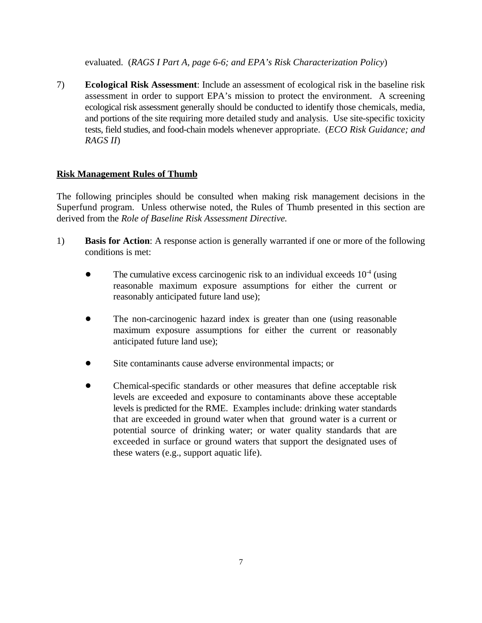evaluated. (*RAGS I Part A, page 6-6; and EPA's Risk Characterization Policy*)

7) **Ecological Risk Assessment**: Include an assessment of ecological risk in the baseline risk assessment in order to support EPA's mission to protect the environment. A screening ecological risk assessment generally should be conducted to identify those chemicals, media, and portions of the site requiring more detailed study and analysis. Use site-specific toxicity tests, field studies, and food-chain models whenever appropriate. (*ECO Risk Guidance; and RAGS II*)

# **Risk Management Rules of Thumb**

The following principles should be consulted when making risk management decisions in the Superfund program. Unless otherwise noted, the Rules of Thumb presented in this section are derived from the *Role of Baseline Risk Assessment Directive.* 

- 1) **Basis for Action**: A response action is generally warranted if one or more of the following conditions is met:
	- $\bullet$  The cumulative excess carcinogenic risk to an individual exceeds  $10^{-4}$  (using reasonable maximum exposure assumptions for either the current or reasonably anticipated future land use);
	- The non-carcinogenic hazard index is greater than one (using reasonable maximum exposure assumptions for either the current or reasonably anticipated future land use);
	- Site contaminants cause adverse environmental impacts; or
	- ! Chemical-specific standards or other measures that define acceptable risk levels are exceeded and exposure to contaminants above these acceptable levels is predicted for the RME. Examples include: drinking water standards that are exceeded in ground water when that ground water is a current or potential source of drinking water; or water quality standards that are exceeded in surface or ground waters that support the designated uses of these waters (e.g., support aquatic life).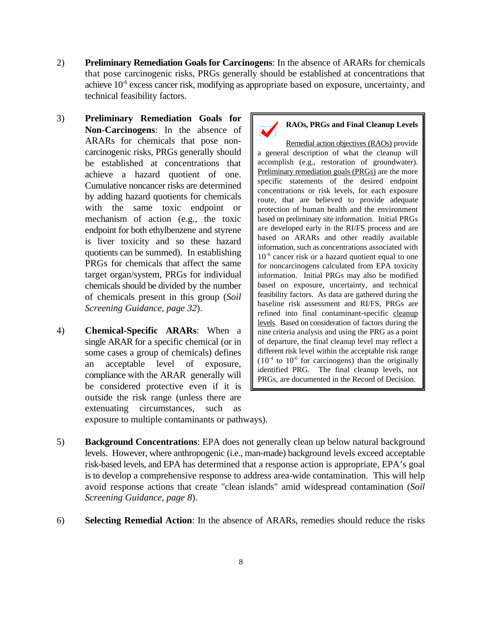- 2) **Preliminary Remediation Goals for Carcinogens**: In the absence of ARARs for chemicals that pose carcinogenic risks, PRGs generally should be established at concentrations that achieve  $10^{-6}$  excess cancer risk, modifying as appropriate based on exposure, uncertainty, and technical feasibility factors.
- 3) **Preliminary Remediation Goals for Non-Carcinogens**: In the absence of ARARs for chemicals that pose noncarcinogenic risks, PRGs generally should be established at concentrations that achieve a hazard quotient of one. Cumulative noncancer risks are determined by adding hazard quotients for chemicals with the same toxic endpoint or mechanism of action (e.g., the toxic endpoint for both ethylbenzene and styrene is liver toxicity and so these hazard quotients can be summed). In establishing PRGs for chemicals that affect the same target organ/system, PRGs for individual chemicals should be divided by the number of chemicals present in this group (*Soil Screening Guidance, page 32*).
- 4) **Chemical-Specific ARARs**: When a single ARAR for a specific chemical (or in some cases a group of chemicals) defines an acceptable level of exposure, compliance with the ARAR generally will be considered protective even if it is outside the risk range (unless there are extenuating circumstances, such as exposure to multiple contaminants or pathways).

# **RAOs, PRGs and Final Cleanup Levels**

Remedial action objectives (RAOs) provide a general description of what the cleanup will accomplish (e.g., restoration of groundwater). Preliminary remediation goals (PRGs) are the more specific statements of the desired endpoint concentrations or risk levels, for each exposure route, that are believed to provide adequate protection of human health and the environment based on preliminary site information. Initial PRGs are developed early in the RI/FS process and are based on ARARs and other readily available information, such as concentrations associated with 10<sup>-6</sup> cancer risk or a hazard quotient equal to one for noncarcinogens calculated from EPA toxicity information. Initial PRGs may also be modified based on exposure, uncertainty, and technical feasibility factors. As data are gathered during the baseline risk assessment and RI/FS, PRGs are refined into final contaminant-specific cleanup levels. Based on consideration of factors during the nine criteria analysis and using the PRG as a point of departure, the final cleanup level may reflect a different risk level within the acceptable risk range  $(10^{-4}$  to  $10^{-6}$  for carcinogens) than the originally identified PRG. The final cleanup levels, not PRGs, are documented in the Record of Decision.

- 5) **Background Concentrations**: EPA does not generally clean up below natural background levels. However, where anthropogenic (i.e., man-made) background levels exceed acceptable risk-based levels, and EPA has determined that a response action is appropriate, EPA's goal is to develop a comprehensive response to address area-wide contamination. This will help avoid response actions that create "clean islands" amid widespread contamination (*Soil Screening Guidance, page 8*).
- 6) **Selecting Remedial Action**: In the absence of ARARs, remedies should reduce the risks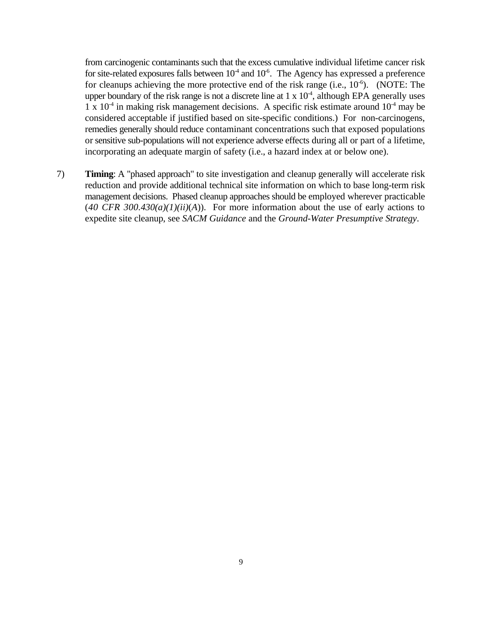from carcinogenic contaminants such that the excess cumulative individual lifetime cancer risk for site-related exposures falls between  $10^4$  and  $10^6$ . The Agency has expressed a preference for cleanups achieving the more protective end of the risk range (i.e.,  $10^{-6}$ ). (NOTE: The upper boundary of the risk range is not a discrete line at  $1 \times 10^{-4}$ , although EPA generally uses 1 x  $10^{-4}$  in making risk management decisions. A specific risk estimate around  $10^{-4}$  may be considered acceptable if justified based on site-specific conditions.) For non-carcinogens, remedies generally should reduce contaminant concentrations such that exposed populations or sensitive sub-populations will not experience adverse effects during all or part of a lifetime, incorporating an adequate margin of safety (i.e., a hazard index at or below one).

7) **Timing**: A "phased approach" to site investigation and cleanup generally will accelerate risk reduction and provide additional technical site information on which to base long-term risk management decisions. Phased cleanup approaches should be employed wherever practicable  $(40 \text{ CFR } 300.430(a)(1)(ii)(A))$ . For more information about the use of early actions to expedite site cleanup, see *SACM Guidance* and the *Ground-Water Presumptive Strategy*.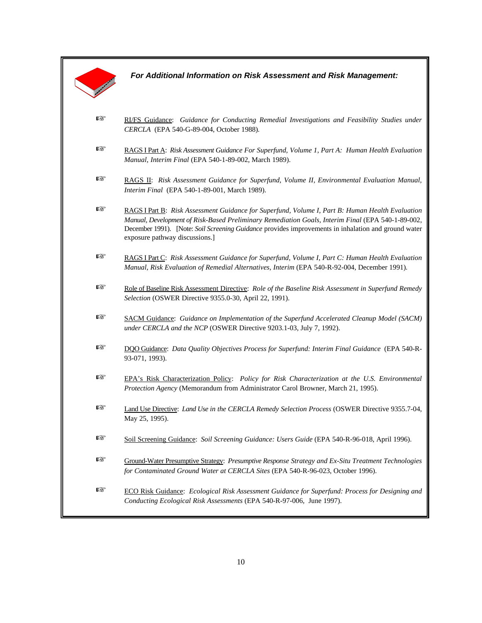*For Additional Information on Risk Assessment and Risk Management:* 

- **EXTERENT FRI/FS** Guidance: *Guidance for Conducting Remedial Investigations and Feasibility Studies under CERCLA* (EPA 540-G-89-004, October 1988)*.*
- **Example 3** RAGS I Part A: *Risk Assessment Guidance For Superfund*, *Volume 1, Part A: Human Health Evaluation Manual*, *Interim Final* (EPA 540-1-89-002, March 1989).
- **LE RAGS II:** *Risk Assessment Guidance for Superfund, Volume II, Environmental Evaluation Manual, Interim Final* (EPA 540-1-89-001, March 1989).
- **LET RAGS I Part B:** *Risk Assessment Guidance for Superfund, Volume I, Part B: Human Health Evaluation Manual, Development of Risk-Based Preliminary Remediation Goals, Interim Final* (EPA 540-1-89-002, December 1991). [Note: Soil Screening Guidance provides improvements in inhalation and ground water exposure pathway discussions.]
- L RAGS I Part C: *Risk Assessment Guidance for Superfund, Volume I, Part C: Human Health Evaluation Manual, Risk Evaluation of Remedial Alternatives, Interim* (EPA 540-R-92-004, December 1991)*.*
- Role of Baseline Risk Assessment Directive: *Role of the Baseline Risk Assessment in Superfund Remedy Selection* (OSWER Directive 9355.0-30, April 22, 1991).
- **EXECOM Guidance:** Guidance on Implementation of the Superfund Accelerated Cleanup Model (SACM) *under CERCLA and the NCP* (OSWER Directive 9203.1-03, July 7, 1992).
- L DQO Guidance: *Data Quality Objectives Process for Superfund: Interim Final Guidance* (EPA 540-R-93-071, 1993).
- L EPA's Risk Characterization Policy: *Policy for Risk Characterization at the U.S. Environmental Protection Agency* (Memorandum from Administrator Carol Browner, March 21, 1995).
- Land Use Directive: *Land Use in the CERCLA Remedy Selection Process* (OSWER Directive 9355.7-04, May 25, 1995).
- **LET** Soil Screening Guidance: *Soil Screening Guidance: Users Guide* (EPA 540-R-96-018, April 1996).
- L Ground-Water Presumptive Strategy: *Presumptive Response Strategy and Ex-Situ Treatment Technologies for Contaminated Ground Water at CERCLA Sites* (EPA 540-R-96-023, October 1996).
- **LECO Risk Guidance:** *Ecological Risk Assessment Guidance for Superfund: Process for Designing and Conducting Ecological Risk Assessments* (EPA 540-R-97-006, June 1997).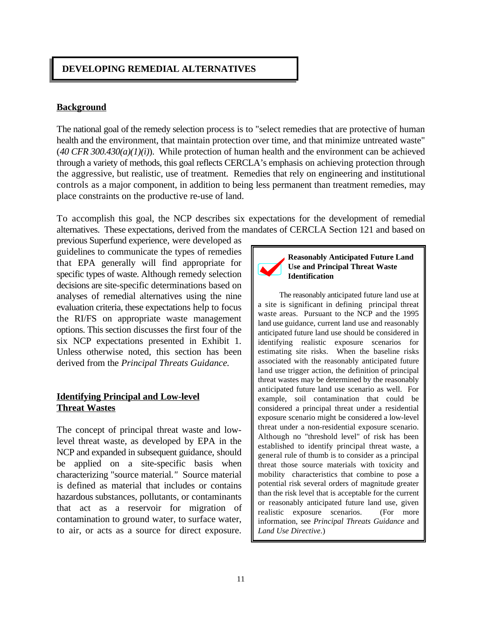# **DEVELOPING REMEDIAL ALTERNATIVES**

#### **Background**

The national goal of the remedy selection process is to "select remedies that are protective of human health and the environment, that maintain protection over time, and that minimize untreated waste"  $(40 \text{ CFR } 300.430(a)(1)(i))$ . While protection of human health and the environment can be achieved through a variety of methods, this goal reflects CERCLA's emphasis on achieving protection through the aggressive, but realistic, use of treatment. Remedies that rely on engineering and institutional controls as a major component, in addition to being less permanent than treatment remedies, may place constraints on the productive re-use of land.

To accomplish this goal, the NCP describes six expectations for the development of remedial alternatives. These expectations, derived from the mandates of CERCLA Section 121 and based on

previous Superfund experience, were developed as guidelines to communicate the types of remedies that EPA generally will find appropriate for specific types of waste. Although remedy selection decisions are site-specific determinations based on analyses of remedial alternatives using the nine evaluation criteria, these expectations help to focus the RI/FS on appropriate waste management options. This section discusses the first four of the six NCP expectations presented in Exhibit 1. Unless otherwise noted, this section has been derived from the *Principal Threats Guidance.* 

# **Identifying Principal and Low-level Threat Wastes**

The concept of principal threat waste and lowlevel threat waste, as developed by EPA in the NCP and expanded in subsequent guidance, should be applied on a site-specific basis when characterizing "source material*."* Source material is defined as material that includes or contains hazardous substances, pollutants, or contaminants that act as a reservoir for migration of contamination to ground water, to surface water, to air, or acts as a source for direct exposure.



**Reasonably Anticipated Future Land Use and Principal Threat Waste Identification** 

The reasonably anticipated future land use at a site is significant in defining principal threat waste areas. Pursuant to the NCP and the 1995 land use guidance, current land use and reasonably anticipated future land use should be considered in identifying realistic exposure scenarios for estimating site risks. When the baseline risks associated with the reasonably anticipated future land use trigger action, the definition of principal threat wastes may be determined by the reasonably anticipated future land use scenario as well. For example, soil contamination that could be considered a principal threat under a residential exposure scenario might be considered a low-level threat under a non-residential exposure scenario. Although no "threshold level" of risk has been established to identify principal threat waste, a general rule of thumb is to consider as a principal threat those source materials with toxicity and mobility characteristics that combine to pose a potential risk several orders of magnitude greater than the risk level that is acceptable for the current or reasonably anticipated future land use, given realistic exposure scenarios. (For more information, see *Principal Threats Guidance* and *Land Use Directive*.)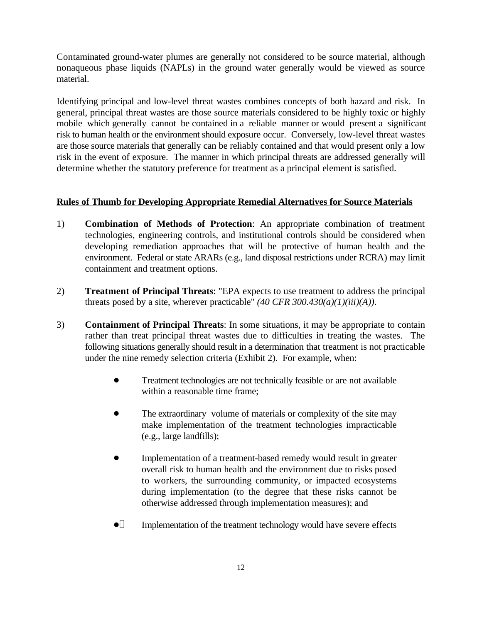Contaminated ground-water plumes are generally not considered to be source material, although nonaqueous phase liquids (NAPLs) in the ground water generally would be viewed as source material.

Identifying principal and low-level threat wastes combines concepts of both hazard and risk. In general, principal threat wastes are those source materials considered to be highly toxic or highly mobile which generally cannot be contained in a reliable manner or would present a significant risk to human health or the environment should exposure occur. Conversely, low-level threat wastes are those source materials that generally can be reliably contained and that would present only a low risk in the event of exposure. The manner in which principal threats are addressed generally will determine whether the statutory preference for treatment as a principal element is satisfied.

# **Rules of Thumb for Developing Appropriate Remedial Alternatives for Source Materials**

- 1) **Combination of Methods of Protection**: An appropriate combination of treatment technologies, engineering controls, and institutional controls should be considered when developing remediation approaches that will be protective of human health and the environment. Federal or state ARARs (e.g., land disposal restrictions under RCRA) may limit containment and treatment options.
- 2) **Treatment of Principal Threats**: "EPA expects to use treatment to address the principal threats posed by a site, wherever practicable"  $(40 \text{ CFR } 300.430(a)(1)(iii)(A)).$
- 3) **Containment of Principal Threats**: In some situations, it may be appropriate to contain rather than treat principal threat wastes due to difficulties in treating the wastes. The following situations generally should result in a determination that treatment is not practicable under the nine remedy selection criteria (Exhibit 2). For example, when:
	- ! Treatment technologies are not technically feasible or are not available within a reasonable time frame;
	- The extraordinary volume of materials or complexity of the site may make implementation of the treatment technologies impracticable (e.g., large landfills);
	- Implementation of a treatment-based remedy would result in greater overall risk to human health and the environment due to risks posed to workers, the surrounding community, or impacted ecosystems during implementation (to the degree that these risks cannot be otherwise addressed through implementation measures); and
	- $\bullet$  Implementation of the treatment technology would have severe effects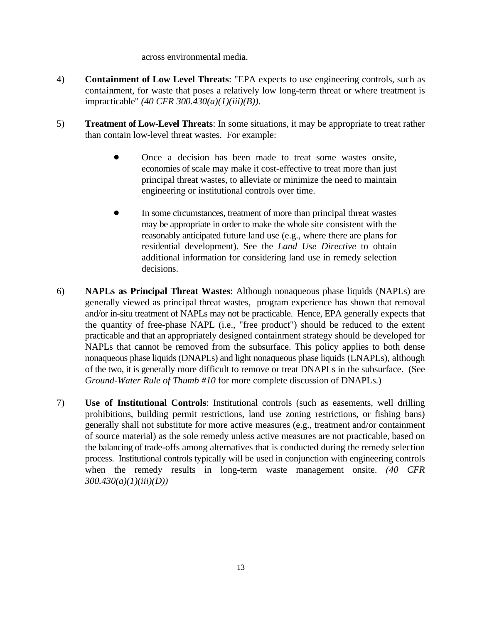across environmental media.

- 4) **Containment of Low Level Threats**: "EPA expects to use engineering controls, such as containment, for waste that poses a relatively low long-term threat or where treatment is impracticable" *(40 CFR 300.430(a)(1)(iii)(B))*.
- 5) **Treatment of Low-Level Threats**: In some situations, it may be appropriate to treat rather than contain low-level threat wastes. For example:
	- ! Once a decision has been made to treat some wastes onsite, economies of scale may make it cost-effective to treat more than just principal threat wastes, to alleviate or minimize the need to maintain engineering or institutional controls over time.
	- ! In some circumstances, treatment of more than principal threat wastes may be appropriate in order to make the whole site consistent with the reasonably anticipated future land use (e.g., where there are plans for residential development). See the *Land Use Directive* to obtain additional information for considering land use in remedy selection decisions.
- 6) **NAPLs as Principal Threat Wastes**: Although nonaqueous phase liquids (NAPLs) are generally viewed as principal threat wastes, program experience has shown that removal and/or in-situ treatment of NAPLs may not be practicable. Hence, EPA generally expects that the quantity of free-phase NAPL (i.e., "free product") should be reduced to the extent practicable and that an appropriately designed containment strategy should be developed for NAPLs that cannot be removed from the subsurface. This policy applies to both dense nonaqueous phase liquids (DNAPLs) and light nonaqueous phase liquids (LNAPLs), although of the two, it is generally more difficult to remove or treat DNAPLs in the subsurface. (See *Ground-Water Rule of Thumb #10* for more complete discussion of DNAPLs.)
- 7) **Use of Institutional Controls**: Institutional controls (such as easements, well drilling prohibitions, building permit restrictions, land use zoning restrictions, or fishing bans) generally shall not substitute for more active measures (e.g., treatment and/or containment of source material) as the sole remedy unless active measures are not practicable, based on the balancing of trade-offs among alternatives that is conducted during the remedy selection process. Institutional controls typically will be used in conjunction with engineering controls when the remedy results in long-term waste management onsite. *(40 CFR 300.430(a)(1)(iii)(D))*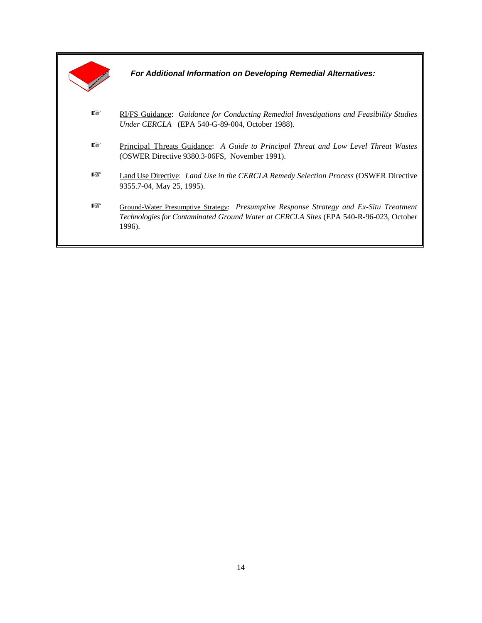|     | For Additional Information on Developing Remedial Alternatives:                                                                                                                           |
|-----|-------------------------------------------------------------------------------------------------------------------------------------------------------------------------------------------|
| rð. | RI/FS Guidance: Guidance for Conducting Remedial Investigations and Feasibility Studies<br>Under CERCLA (EPA 540-G-89-004, October 1988).                                                 |
| 隐   | <u>Principal Threats Guidance</u> : A Guide to Principal Threat and Low Level Threat Wastes<br>(OSWER Directive 9380.3-06FS, November 1991).                                              |
| 隐   | Land Use Directive: <i>Land Use in the CERCLA Remedy Selection Process</i> (OSWER Directive<br>9355.7-04, May 25, 1995).                                                                  |
| 隐   | Ground-Water Presumptive Strategy: Presumptive Response Strategy and Ex-Situ Treatment<br>Technologies for Contaminated Ground Water at CERCLA Sites (EPA 540-R-96-023, October<br>1996). |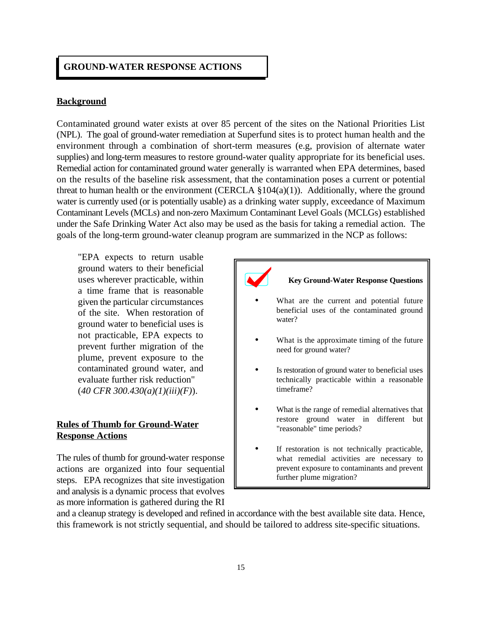#### **GROUND-WATER RESPONSE ACTIONS**

#### **Background**

Contaminated ground water exists at over 85 percent of the sites on the National Priorities List (NPL). The goal of ground-water remediation at Superfund sites is to protect human health and the environment through a combination of short-term measures (e.g, provision of alternate water supplies) and long-term measures to restore ground-water quality appropriate for its beneficial uses. Remedial action for contaminated ground water generally is warranted when EPA determines, based on the results of the baseline risk assessment, that the contamination poses a current or potential threat to human health or the environment (CERCLA  $\S 104(a)(1)$ ). Additionally, where the ground water is currently used (or is potentially usable) as a drinking water supply, exceedance of Maximum Contaminant Levels (MCLs) and non-zero Maximum Contaminant Level Goals (MCLGs) established under the Safe Drinking Water Act also may be used as the basis for taking a remedial action. The goals of the long-term ground-water cleanup program are summarized in the NCP as follows:

"EPA expects to return usable ground waters to their beneficial uses wherever practicable, within a time frame that is reasonable given the particular circumstances of the site. When restoration of ground water to beneficial uses is not practicable, EPA expects to prevent further migration of the plume, prevent exposure to the contaminated ground water, and evaluate further risk reduction" (*40 CFR 300.430(a)(1)(iii)(F)*).

#### **Rules of Thumb for Ground-Water Response Actions**

The rules of thumb for ground-water response actions are organized into four sequential steps. EPA recognizes that site investigation and analysis is a dynamic process that evolves as more information is gathered during the RI

#### **Key Ground-Water Response Questions**

- What are the current and potential future beneficial uses of the contaminated ground water?
- What is the approximate timing of the future need for ground water?
- Is restoration of ground water to beneficial uses technically practicable within a reasonable timeframe?
- What is the range of remedial alternatives that restore ground water in different but "reasonable" time periods?
- If restoration is not technically practicable, what remedial activities are necessary to prevent exposure to contaminants and prevent further plume migration?

and a cleanup strategy is developed and refined in accordance with the best available site data. Hence, this framework is not strictly sequential, and should be tailored to address site-specific situations.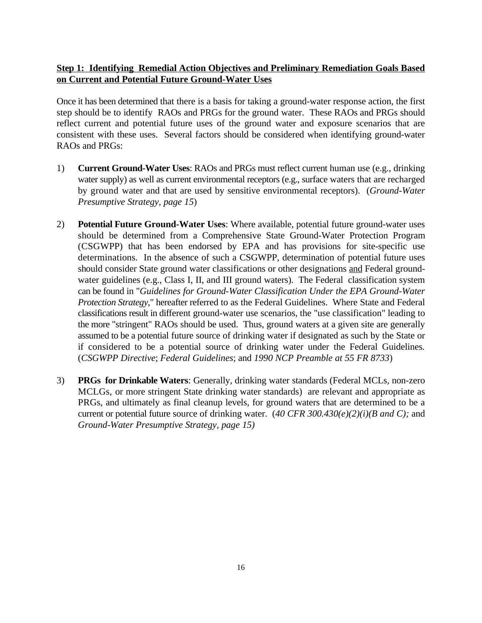# **Step 1: Identifying Remedial Action Objectives and Preliminary Remediation Goals Based on Current and Potential Future Ground-Water Uses**

Once it has been determined that there is a basis for taking a ground-water response action, the first step should be to identify RAOs and PRGs for the ground water. These RAOs and PRGs should reflect current and potential future uses of the ground water and exposure scenarios that are consistent with these uses. Several factors should be considered when identifying ground-water RAOs and PRGs:

- 1) **Current Ground-Water Uses**: RAOs and PRGs must reflect current human use (e.g., drinking water supply) as well as current environmental receptors (e.g., surface waters that are recharged by ground water and that are used by sensitive environmental receptors). (*Ground-Water Presumptive Strategy, page 15*)
- 2) **Potential Future Ground-Water Uses**: Where available, potential future ground-water uses should be determined from a Comprehensive State Ground-Water Protection Program (CSGWPP) that has been endorsed by EPA and has provisions for site-specific use determinations. In the absence of such a CSGWPP, determination of potential future uses should consider State ground water classifications or other designations and Federal groundwater guidelines (e.g., Class I, II, and III ground waters). The Federal classification system can be found in "*Guidelines for Ground-Water Classification Under the EPA Ground-Water Protection Strategy*," hereafter referred to as the Federal Guidelines. Where State and Federal classifications result in different ground-water use scenarios, the "use classification" leading to the more "stringent" RAOs should be used. Thus, ground waters at a given site are generally assumed to be a potential future source of drinking water if designated as such by the State or if considered to be a potential source of drinking water under the Federal Guidelines*.*  (*CSGWPP Directive*; *Federal Guidelines*; and *1990 NCP Preamble at 55 FR 8733*)
- 3) **PRGs for Drinkable Waters**: Generally, drinking water standards (Federal MCLs, non-zero MCLGs, or more stringent State drinking water standards) are relevant and appropriate as PRGs, and ultimately as final cleanup levels, for ground waters that are determined to be a current or potential future source of drinking water. (*40 CFR 300.430(e)(2)(i)(B and C);* and *Ground-Water Presumptive Strategy, page 15)*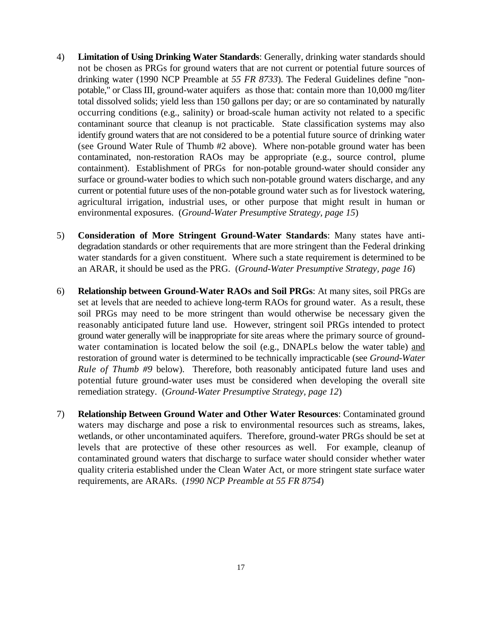- 4) **Limitation of Using Drinking Water Standards**: Generally, drinking water standards should not be chosen as PRGs for ground waters that are not current or potential future sources of drinking water (1990 NCP Preamble at *55 FR 8733*). The Federal Guidelines define "nonpotable," or Class III, ground-water aquifers as those that: contain more than 10,000 mg/liter total dissolved solids; yield less than 150 gallons per day; or are so contaminated by naturally occurring conditions (e.g., salinity) or broad-scale human activity not related to a specific contaminant source that cleanup is not practicable. State classification systems may also identify ground waters that are not considered to be a potential future source of drinking water (see Ground Water Rule of Thumb #2 above). Where non-potable ground water has been contaminated, non-restoration RAOs may be appropriate (e.g., source control, plume containment). Establishment of PRGs for non-potable ground-water should consider any surface or ground-water bodies to which such non-potable ground waters discharge, and any current or potential future uses of the non-potable ground water such as for livestock watering, agricultural irrigation, industrial uses, or other purpose that might result in human or environmental exposures. (*Ground-Water Presumptive Strategy, page 15*)
- 5) **Consideration of More Stringent Ground-Water Standards**: Many states have antidegradation standards or other requirements that are more stringent than the Federal drinking water standards for a given constituent. Where such a state requirement is determined to be an ARAR, it should be used as the PRG. (*Ground-Water Presumptive Strategy, page 16*)
- 6) **Relationship between Ground-Water RAOs and Soil PRGs**: At many sites, soil PRGs are set at levels that are needed to achieve long-term RAOs for ground water. As a result, these soil PRGs may need to be more stringent than would otherwise be necessary given the reasonably anticipated future land use. However, stringent soil PRGs intended to protect ground water generally will be inappropriate for site areas where the primary source of groundwater contamination is located below the soil (e.g., DNAPLs below the water table) and restoration of ground water is determined to be technically impracticable (see *Ground-Water Rule of Thumb #9* below). Therefore, both reasonably anticipated future land uses and potential future ground-water uses must be considered when developing the overall site remediation strategy. (*Ground-Water Presumptive Strategy, page 12*)
- 7) **Relationship Between Ground Water and Other Water Resources**: Contaminated ground waters may discharge and pose a risk to environmental resources such as streams, lakes, wetlands, or other uncontaminated aquifers. Therefore, ground-water PRGs should be set at levels that are protective of these other resources as well. For example, cleanup of contaminated ground waters that discharge to surface water should consider whether water quality criteria established under the Clean Water Act, or more stringent state surface water requirements, are ARARs. (*1990 NCP Preamble at 55 FR 8754*)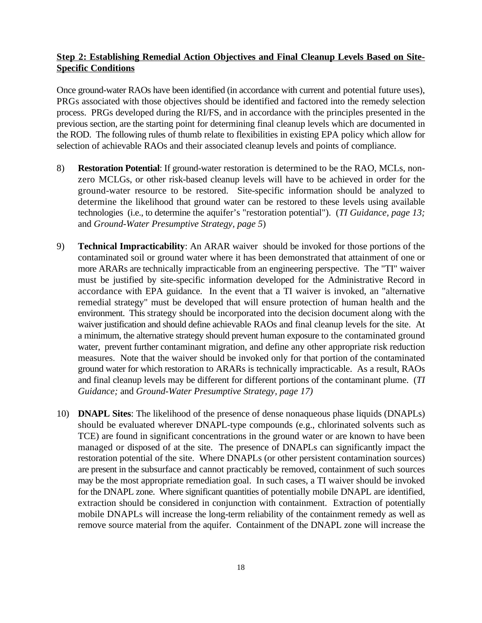# **Step 2: Establishing Remedial Action Objectives and Final Cleanup Levels Based on Site-Specific Conditions**

Once ground-water RAOs have been identified (in accordance with current and potential future uses), PRGs associated with those objectives should be identified and factored into the remedy selection process. PRGs developed during the RI/FS, and in accordance with the principles presented in the previous section, are the starting point for determining final cleanup levels which are documented in the ROD. The following rules of thumb relate to flexibilities in existing EPA policy which allow for selection of achievable RAOs and their associated cleanup levels and points of compliance.

- 8) **Restoration Potential**: If ground-water restoration is determined to be the RAO, MCLs, nonzero MCLGs, or other risk-based cleanup levels will have to be achieved in order for the ground-water resource to be restored. Site-specific information should be analyzed to determine the likelihood that ground water can be restored to these levels using available technologies (i.e., to determine the aquifer's "restoration potential"). (*TI Guidance, page 13;*  and *Ground-Water Presumptive Strategy, page 5*)
- 9) **Technical Impracticability**: An ARAR waiver should be invoked for those portions of the contaminated soil or ground water where it has been demonstrated that attainment of one or more ARARs are technically impracticable from an engineering perspective. The "TI" waiver must be justified by site-specific information developed for the Administrative Record in accordance with EPA guidance. In the event that a TI waiver is invoked, an "alternative remedial strategy" must be developed that will ensure protection of human health and the environment. This strategy should be incorporated into the decision document along with the waiver justification and should define achievable RAOs and final cleanup levels for the site. At a minimum, the alternative strategy should prevent human exposure to the contaminated ground water, prevent further contaminant migration, and define any other appropriate risk reduction measures. Note that the waiver should be invoked only for that portion of the contaminated ground water for which restoration to ARARs is technically impracticable. As a result, RAOs and final cleanup levels may be different for different portions of the contaminant plume. (*TI Guidance;* and *Ground-Water Presumptive Strategy, page 17)*
- 10) **DNAPL Sites**: The likelihood of the presence of dense nonaqueous phase liquids (DNAPLs) should be evaluated wherever DNAPL-type compounds (e.g., chlorinated solvents such as TCE) are found in significant concentrations in the ground water or are known to have been managed or disposed of at the site. The presence of DNAPLs can significantly impact the restoration potential of the site. Where DNAPLs (or other persistent contamination sources) are present in the subsurface and cannot practicably be removed, containment of such sources may be the most appropriate remediation goal. In such cases, a TI waiver should be invoked for the DNAPL zone. Where significant quantities of potentially mobile DNAPL are identified, extraction should be considered in conjunction with containment. Extraction of potentially mobile DNAPLs will increase the long-term reliability of the containment remedy as well as remove source material from the aquifer. Containment of the DNAPL zone will increase the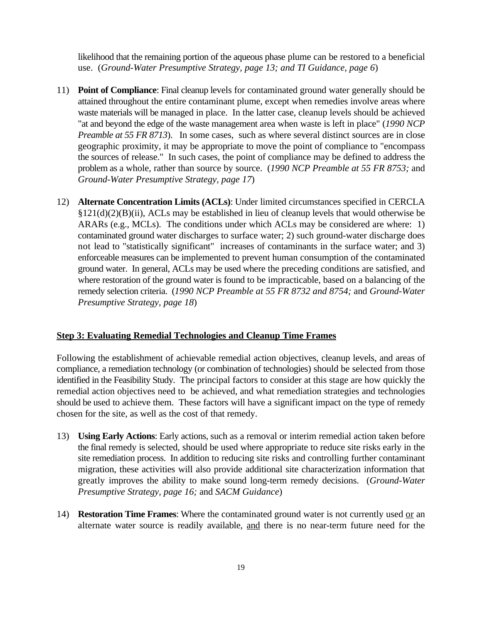likelihood that the remaining portion of the aqueous phase plume can be restored to a beneficial use. (*Ground-Water Presumptive Strategy, page 13; and TI Guidance, page 6*)

- 11) **Point of Compliance**: Final cleanup levels for contaminated ground water generally should be attained throughout the entire contaminant plume, except when remedies involve areas where waste materials will be managed in place. In the latter case, cleanup levels should be achieved "at and beyond the edge of the waste management area when waste is left in place" (*1990 NCP Preamble at 55 FR 8713*). In some cases, such as where several distinct sources are in close geographic proximity, it may be appropriate to move the point of compliance to "encompass the sources of release." In such cases, the point of compliance may be defined to address the problem as a whole, rather than source by source. (*1990 NCP Preamble at 55 FR 8753;* and *Ground-Water Presumptive Strategy, page 17*)
- 12) **Alternate Concentration Limits (ACLs)**: Under limited circumstances specified in CERCLA §121(d)(2)(B)(ii), ACLs may be established in lieu of cleanup levels that would otherwise be ARARs (e.g., MCLs). The conditions under which ACLs may be considered are where: 1) contaminated ground water discharges to surface water; 2) such ground-water discharge does not lead to "statistically significant" increases of contaminants in the surface water; and 3) enforceable measures can be implemented to prevent human consumption of the contaminated ground water. In general, ACLs may be used where the preceding conditions are satisfied, and where restoration of the ground water is found to be impracticable, based on a balancing of the remedy selection criteria. (*1990 NCP Preamble at 55 FR 8732 and 8754;* and *Ground-Water Presumptive Strategy, page 18*)

## **Step 3: Evaluating Remedial Technologies and Cleanup Time Frames**

Following the establishment of achievable remedial action objectives, cleanup levels, and areas of compliance, a remediation technology (or combination of technologies) should be selected from those identified in the Feasibility Study. The principal factors to consider at this stage are how quickly the remedial action objectives need to be achieved, and what remediation strategies and technologies should be used to achieve them. These factors will have a significant impact on the type of remedy chosen for the site, as well as the cost of that remedy.

- 13) **Using Early Actions**: Early actions, such as a removal or interim remedial action taken before the final remedy is selected, should be used where appropriate to reduce site risks early in the site remediation process. In addition to reducing site risks and controlling further contaminant migration, these activities will also provide additional site characterization information that greatly improves the ability to make sound long-term remedy decisions. (*Ground-Water Presumptive Strategy, page 16;* and *SACM Guidance*)
- 14) **Restoration Time Frames:** Where the contaminated ground water is not currently used <u>or</u> an alternate water source is readily available, and there is no near-term future need for the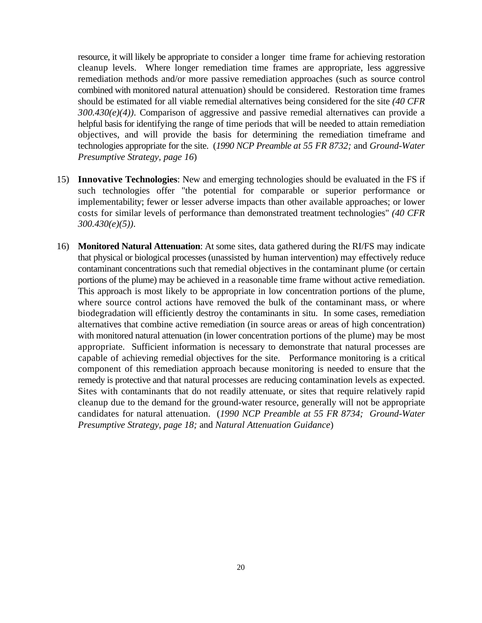resource, it will likely be appropriate to consider a longer time frame for achieving restoration cleanup levels. Where longer remediation time frames are appropriate, less aggressive remediation methods and/or more passive remediation approaches (such as source control combined with monitored natural attenuation) should be considered. Restoration time frames should be estimated for all viable remedial alternatives being considered for the site *(40 CFR 300.430(e)(4))*. Comparison of aggressive and passive remedial alternatives can provide a helpful basis for identifying the range of time periods that will be needed to attain remediation objectives, and will provide the basis for determining the remediation timeframe and technologies appropriate for the site. (*1990 NCP Preamble at 55 FR 8732;* and *Ground-Water Presumptive Strategy, page 16*)

- 15) **Innovative Technologies**: New and emerging technologies should be evaluated in the FS if such technologies offer "the potential for comparable or superior performance or implementability; fewer or lesser adverse impacts than other available approaches; or lower costs for similar levels of performance than demonstrated treatment technologies" *(40 CFR 300.430(e)(5))*.
- 16) **Monitored Natural Attenuation**: At some sites, data gathered during the RI/FS may indicate that physical or biological processes (unassisted by human intervention) may effectively reduce contaminant concentrations such that remedial objectives in the contaminant plume (or certain portions of the plume) may be achieved in a reasonable time frame without active remediation. This approach is most likely to be appropriate in low concentration portions of the plume, where source control actions have removed the bulk of the contaminant mass, or where biodegradation will efficiently destroy the contaminants in situ. In some cases, remediation alternatives that combine active remediation (in source areas or areas of high concentration) with monitored natural attenuation (in lower concentration portions of the plume) may be most appropriate. Sufficient information is necessary to demonstrate that natural processes are capable of achieving remedial objectives for the site. Performance monitoring is a critical component of this remediation approach because monitoring is needed to ensure that the remedy is protective and that natural processes are reducing contamination levels as expected. Sites with contaminants that do not readily attenuate, or sites that require relatively rapid cleanup due to the demand for the ground-water resource, generally will not be appropriate candidates for natural attenuation. (*1990 NCP Preamble at 55 FR 8734; Ground-Water Presumptive Strategy, page 18;* and *Natural Attenuation Guidance*)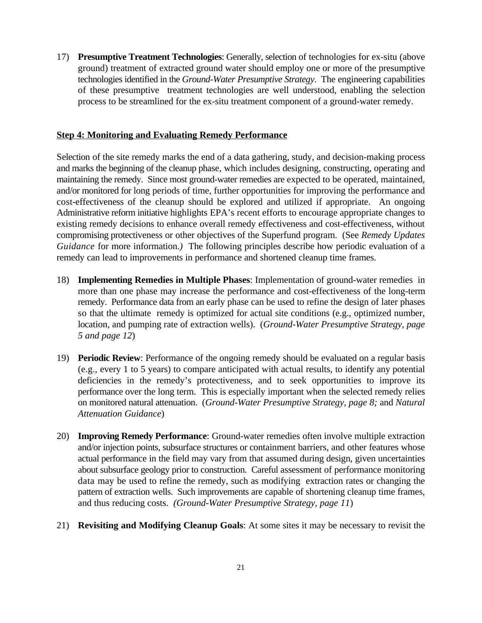17) **Presumptive Treatment Technologies**: Generally, selection of technologies for ex-situ (above ground) treatment of extracted ground water should employ one or more of the presumptive technologies identified in the *Ground-Water Presumptive Strategy*. The engineering capabilities of these presumptive treatment technologies are well understood, enabling the selection process to be streamlined for the ex-situ treatment component of a ground-water remedy.

#### **Step 4: Monitoring and Evaluating Remedy Performance**

Selection of the site remedy marks the end of a data gathering, study, and decision-making process and marks the beginning of the cleanup phase, which includes designing, constructing, operating and maintaining the remedy. Since most ground-water remedies are expected to be operated, maintained, and/or monitored for long periods of time, further opportunities for improving the performance and cost-effectiveness of the cleanup should be explored and utilized if appropriate. An ongoing Administrative reform initiative highlights EPA's recent efforts to encourage appropriate changes to existing remedy decisions to enhance overall remedy effectiveness and cost-effectiveness, without compromising protectiveness or other objectives of the Superfund program. (See *Remedy Updates Guidance* for more information.*)* The following principles describe how periodic evaluation of a remedy can lead to improvements in performance and shortened cleanup time frames.

- 18) **Implementing Remedies in Multiple Phases**: Implementation of ground-water remedies in more than one phase may increase the performance and cost-effectiveness of the long-term remedy. Performance data from an early phase can be used to refine the design of later phases so that the ultimate remedy is optimized for actual site conditions (e.g., optimized number, location, and pumping rate of extraction wells). (*Ground-Water Presumptive Strategy, page 5 and page 12*)
- 19) **Periodic Review**: Performance of the ongoing remedy should be evaluated on a regular basis (e.g., every 1 to 5 years) to compare anticipated with actual results, to identify any potential deficiencies in the remedy's protectiveness, and to seek opportunities to improve its performance over the long term. This is especially important when the selected remedy relies on monitored natural attenuation. (*Ground-Water Presumptive Strategy, page 8;* and *Natural Attenuation Guidance*)
- 20) **Improving Remedy Performance**: Ground-water remedies often involve multiple extraction and/or injection points, subsurface structures or containment barriers, and other features whose actual performance in the field may vary from that assumed during design, given uncertainties about subsurface geology prior to construction. Careful assessment of performance monitoring data may be used to refine the remedy, such as modifying extraction rates or changing the pattern of extraction wells. Such improvements are capable of shortening cleanup time frames, and thus reducing costs. *(Ground-Water Presumptive Strategy, page 11*)
- 21) **Revisiting and Modifying Cleanup Goals**: At some sites it may be necessary to revisit the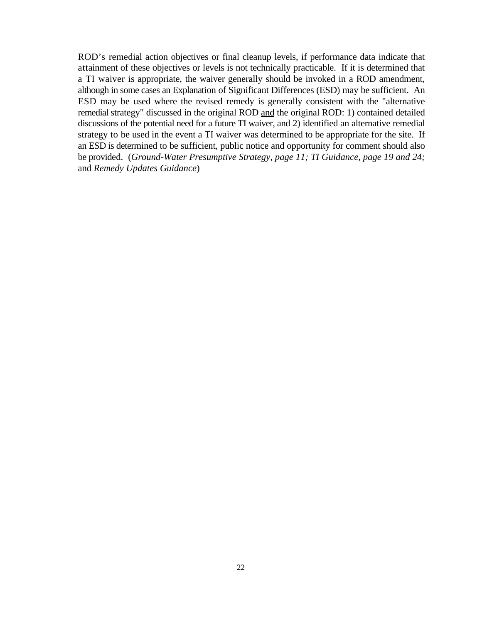ROD's remedial action objectives or final cleanup levels, if performance data indicate that attainment of these objectives or levels is not technically practicable. If it is determined that a TI waiver is appropriate, the waiver generally should be invoked in a ROD amendment, although in some cases an Explanation of Significant Differences (ESD) may be sufficient. An ESD may be used where the revised remedy is generally consistent with the "alternative remedial strategy" discussed in the original ROD and the original ROD: 1) contained detailed discussions of the potential need for a future TI waiver, and 2) identified an alternative remedial strategy to be used in the event a TI waiver was determined to be appropriate for the site. If an ESD is determined to be sufficient, public notice and opportunity for comment should also be provided. (*Ground-Water Presumptive Strategy, page 11; TI Guidance, page 19 and 24;*  and *Remedy Updates Guidance*)